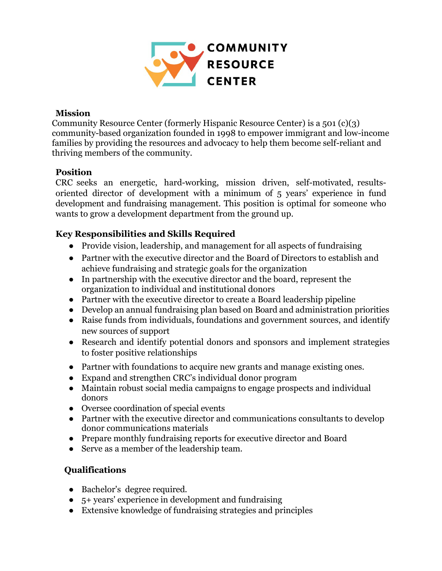

#### **Mission**

Community Resource Center (formerly Hispanic Resource Center) is a 501 (c)(3) community-based organization founded in 1998 to empower immigrant and low-income families by providing the resources and advocacy to help them become self-reliant and thriving members of the community.

### **Position**

CRC seeks an energetic, hard-working, mission driven, self-motivated, resultsoriented director of development with a minimum of 5 years' experience in fund development and fundraising management. This position is optimal for someone who wants to grow a development department from the ground up.

### **Key Responsibilities and Skills Required**

- Provide vision, leadership, and management for all aspects of fundraising
- Partner with the executive director and the Board of Directors to establish and achieve fundraising and strategic goals for the organization
- In partnership with the executive director and the board, represent the organization to individual and institutional donors
- Partner with the executive director to create a Board leadership pipeline
- Develop an annual fundraising plan based on Board and administration priorities
- Raise funds from individuals, foundations and government sources, and identify new sources of support
- Research and identify potential donors and sponsors and implement strategies to foster positive relationships
- Partner with foundations to acquire new grants and manage existing ones.
- Expand and strengthen CRC's individual donor program
- Maintain robust social media campaigns to engage prospects and individual donors
- Oversee coordination of special events
- Partner with the executive director and communications consultants to develop donor communications materials
- Prepare monthly fundraising reports for executive director and Board
- Serve as a member of the leadership team.

# **Qualifications**

- Bachelor's degree required.
- $\bullet$  5+ years' experience in development and fundraising
- Extensive knowledge of fundraising strategies and principles